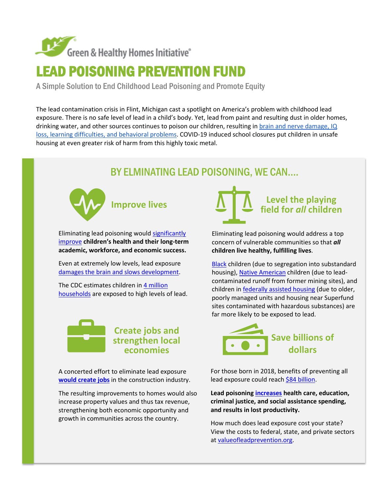

# LEAD POISONING PREVENTION FUND

A Simple Solution to End Childhood Lead Poisoning and Promote Equity

The lead contamination crisis in Flint, Michigan cast a spotlight on America's problem with childhood lead exposure. There is no safe level of lead in a child's body. Yet, lead from paint and resulting dust in older homes, drinking water, and other sources continues to poison our children, resulting i[n brain and nerve damage, IQ](https://www.sandiego.gov/environmental-services/ep/leadsafety/leadbackground)  [loss, learning difficulties, and behavioral problems.](https://www.sandiego.gov/environmental-services/ep/leadsafety/leadbackground) COVID-19 induced school closures put children in unsafe housing at even greater risk of harm from this highly toxic metal.

# BY ELMINATING LEAD POISONING, WE CAN….



Eliminating lead poisoning woul[d significantly](https://www.pewtrusts.org/-/media/assets/2017/08/hip_childhood_lead_poisoning_report.pdf)  [improve](https://www.pewtrusts.org/-/media/assets/2017/08/hip_childhood_lead_poisoning_report.pdf) **children's health and their long-term academic, workforce, and economic success.**

Even at extremely low levels, lead exposure [damages the brain and slows development.](https://www.pewtrusts.org/-/media/assets/2017/08/hip_childhood_lead_poisoning_report.pdf)

The CDC estimates children in [4 million](https://www.cdc.gov/nceh/lead/prevention/children.htm) [households](https://www.cdc.gov/nceh/lead/prevention/children.htm) are exposed to high levels of lead.



A concerted effort to eliminate lead exposure **[would create jobs](https://issuu.com/ghhi/docs/finalplaybook2)** in the construction industry.

The resulting improvements to homes would also increase property values and thus tax revenue, strengthening both economic opportunity and growth in communities across the country.



Eliminating lead poisoning would address a top concern of vulnerable communities so that *all*  **children live healthy, fulfilling lives**.

[Black](https://www.dcfpi.org/wp-content/uploads/2019/04/4.30.19-Lead-Remediation.pdf) children (due to segregation into substandard housing)[, Native American](https://www.nwf.org/%7E/media/PDFs/Wildlife/Tribal-Lands/Honoring%20the%20River%20Report.pdf) children (due to leadcontaminated runoff from former mining sites), and children in [federally assisted housing](https://www.healthaffairs.org/do/10.1377/hblog20170808.061398/full/) (due to older, poorly managed units and housing near Superfund sites contaminated with hazardous substances) are far more likely to be exposed to lead.



For those born in 2018, benefits of preventing all lead exposure could reach [\\$84 billion.](https://www.pewtrusts.org/-/media/assets/2017/08/hip_childhood_lead_poisoning_report.pdf)

**Lead poisoning [increases](https://www.pewtrusts.org/-/media/assets/2017/08/hip_childhood_lead_poisoning_report.pdf) health care, education, criminal justice, and social assistance spending, and results in lost productivity.** 

How much does lead exposure cost your state? View the costs to federal, state, and private sectors a[t valueofleadprevention.org.](http://valueofleadprevention.org/)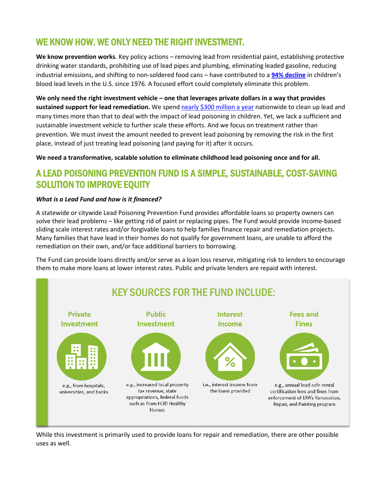### WE KNOW HOW. WE ONLY NEED THE RIGHT INVESTMENT.

**We know prevention works**. Key policy actions – removing lead from residential paint, establishing protective drinking water standards, prohibiting use of lead pipes and plumbing, eliminating leaded gasoline, reducing industrial emissions, and shifting to non-soldered food cans – have contributed to a **[94% decline](https://www.ncbi.nlm.nih.gov/pmc/articles/PMC6522252/)** in children's blood lead levels in the U.S. since 1976. A focused effort could completely eliminate this problem.

**We only need the right investment vehicle – one that leverages private dollars in a way that provides sustained support for lead remediation.** We spend [nearly \\$300 million a year](https://www.hud.gov/sites/dfiles/CFO/documents/36_2022CJ-Program-LeadHazardReduction.pdf) nationwide to clean up lead and many times more than that to deal with the impact of lead poisoning in children. Yet, we lack a sufficient and sustainable investment vehicle to further scale these efforts. And we focus on treatment rather than prevention. We must invest the amount needed to prevent lead poisoning by removing the risk in the first place, instead of just treating lead poisoning (and paying for it) after it occurs.

**We need a transformative, scalable solution to eliminate childhood lead poisoning once and for all.** 

### A LEAD POISONING PREVENTION FUND IS A SIMPLE, SUSTAINABLE, COST-SAVING SOLUTION TO IMPROVE EQUITY

#### *What is a Lead Fund and how is it financed?*

A statewide or citywide Lead Poisoning Prevention Fund provides affordable loans so property owners can solve their lead problems – like getting rid of paint or replacing pipes. The Fund would provide income-based sliding scale interest rates and/or forgivable loans to help families finance repair and remediation projects. Many families that have lead in their homes do not qualify for government loans, are unable to afford the remediation on their own, and/or face additional barriers to borrowing.

The Fund can provide loans directly and/or serve as a loan loss reserve, mitigating risk to lenders to encourage them to make more loans at lower interest rates. Public and private lenders are repaid with interest.



While this investment is primarily used to provide loans for repair and remediation, there are other possible uses as well.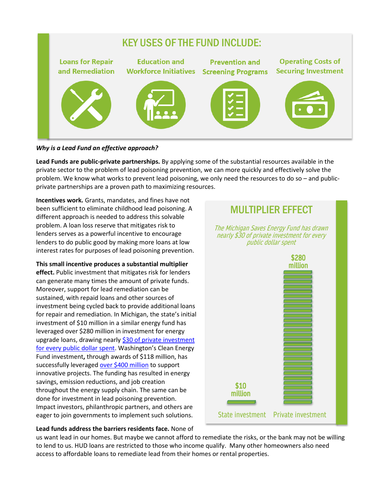

#### *Why is a Lead Fund an effective approach?*

**Lead Funds are public-private partnerships.** By applying some of the substantial resources available in the private sector to the problem of lead poisoning prevention, we can more quickly and effectively solve the problem. We know what works to prevent lead poisoning, we only need the resources to do so – and publicprivate partnerships are a proven path to maximizing resources.

**Incentives work.** Grants, mandates, and fines have not been sufficient to eliminate childhood lead poisoning. A different approach is needed to address this solvable problem. A loan loss reserve that mitigates risk to lenders serves as a powerful incentive to encourage lenders to do public good by making more loans at low interest rates for purposes of lead poisoning prevention.

**This small incentive produces a substantial multiplier effect.** Public investment that mitigates risk for lenders can generate many times the amount of private funds. Moreover, support for lead remediation can be sustained, with repaid loans and other sources of investment being cycled back to provide additional loans for repair and remediation. In Michigan, the state's initial investment of \$10 million in a similar energy fund has leveraged over \$280 million in investment for energy upgrade loans, drawing nearly \$30 of private investment [for every public dollar spent.](https://michigansaves.org/news/press-release-gov-whitmer-recommends-5-million-investment-in-michigans-green-bank/) [Washington's Clean Energy](https://www.commerce.wa.gov/wp-content/uploads/2020/12/ECPAC-Report_11-24-2020.pdf)  [Fund investment](https://www.commerce.wa.gov/wp-content/uploads/2020/12/ECPAC-Report_11-24-2020.pdf)**[,](https://www.commerce.wa.gov/wp-content/uploads/2020/12/ECPAC-Report_11-24-2020.pdf)** through awards of \$118 million, has successfully leveraged [over \\$400 million](https://www.commerce.wa.gov/wp-content/uploads/2020/12/ECPAC-Report_11-24-2020.pdf) to support innovative projects. The funding has resulted in energy savings, emission reductions, and job creation throughout the energy supply chain. The same can be done for investment in lead poisoning prevention. Impact investors, philanthropic partners, and others are eager to join governments to implement such solutions.



#### **Lead funds address the barriers residents face.** None of

us want lead in our homes. But maybe we cannot afford to remediate the risks, or the bank may not be willing to lend to us. HUD loans are restricted to those who income qualify. Many other homeowners also need access to affordable loans to remediate lead from their homes or rental properties.